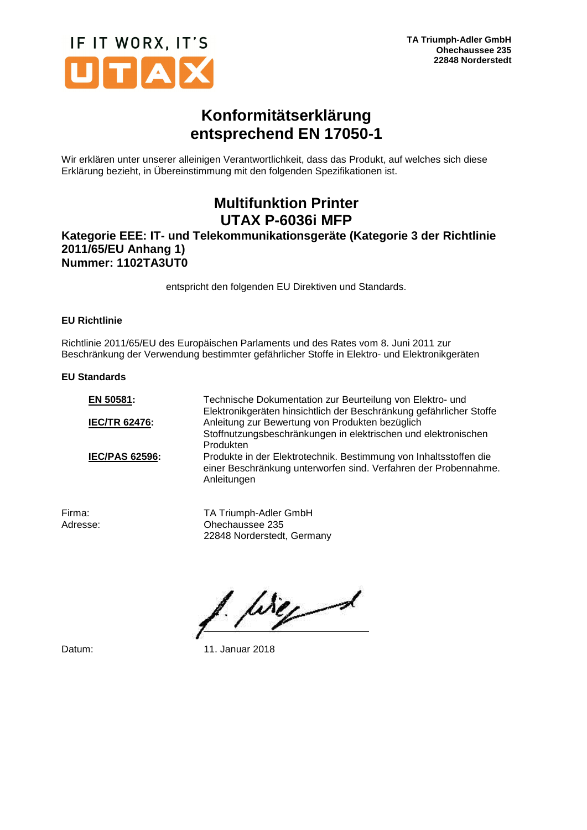

## **Konformitätserklärung entsprechend EN 17050-1**

Wir erklären unter unserer alleinigen Verantwortlichkeit, dass das Produkt, auf welches sich diese Erklärung bezieht, in Übereinstimmung mit den folgenden Spezifikationen ist.

# **Multifunktion Printer UTAX P-6036i MFP**

### **Kategorie EEE: IT- und Telekommunikationsgeräte (Kategorie 3 der Richtlinie 2011/65/EU Anhang 1) Nummer: 1102TA3UT0**

entspricht den folgenden EU Direktiven und Standards.

#### **EU Richtlinie**

Richtlinie 2011/65/EU des Europäischen Parlaments und des Rates vom 8. Juni 2011 zur Beschränkung der Verwendung bestimmter gefährlicher Stoffe in Elektro- und Elektronikgeräten

#### **EU Standards**

| EN 50581:             | Technische Dokumentation zur Beurteilung von Elektro- und<br>Elektronikgeräten hinsichtlich der Beschränkung gefährlicher Stoffe                    |
|-----------------------|-----------------------------------------------------------------------------------------------------------------------------------------------------|
| <b>IEC/TR 62476:</b>  | Anleitung zur Bewertung von Produkten bezüglich                                                                                                     |
|                       | Stoffnutzungsbeschränkungen in elektrischen und elektronischen<br>Produkten                                                                         |
| <b>IEC/PAS 62596:</b> | Produkte in der Elektrotechnik. Bestimmung von Inhaltsstoffen die<br>einer Beschränkung unterworfen sind. Verfahren der Probennahme.<br>Anleitungen |

Firma: TA Triumph-Adler GmbH Adresse: Ohechaussee 235 22848 Norderstedt, Germany

like 1

Datum: 11. Januar 2018